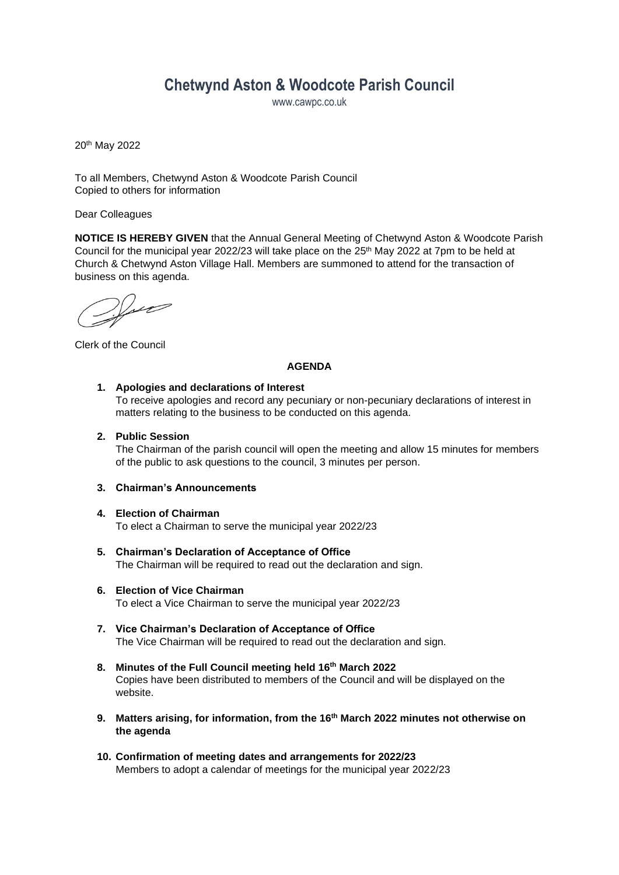# **Chetwynd Aston & Woodcote Parish Council**

www.cawpc.co.uk

20th May 2022

To all Members, Chetwynd Aston & Woodcote Parish Council Copied to others for information

Dear Colleagues

**NOTICE IS HEREBY GIVEN** that the Annual General Meeting of Chetwynd Aston & Woodcote Parish Council for the municipal year 2022/23 will take place on the  $25<sup>th</sup>$  May 2022 at 7pm to be held at Church & Chetwynd Aston Village Hall. Members are summoned to attend for the transaction of business on this agenda.

 $\frac{1}{2}$ 

Clerk of the Council

#### **AGENDA**

#### **1. Apologies and declarations of Interest**

To receive apologies and record any pecuniary or non-pecuniary declarations of interest in matters relating to the business to be conducted on this agenda.

#### **2. Public Session**

The Chairman of the parish council will open the meeting and allow 15 minutes for members of the public to ask questions to the council, 3 minutes per person.

#### **3. Chairman's Announcements**

#### **4. Election of Chairman**

To elect a Chairman to serve the municipal year 2022/23

- **5. Chairman's Declaration of Acceptance of Office** The Chairman will be required to read out the declaration and sign.
- **6. Election of Vice Chairman** To elect a Vice Chairman to serve the municipal year 2022/23
- **7. Vice Chairman's Declaration of Acceptance of Office** The Vice Chairman will be required to read out the declaration and sign.
- **8. Minutes of the Full Council meeting held 16th March 2022**  Copies have been distributed to members of the Council and will be displayed on the website.
- **9. Matters arising, for information, from the 16th March 2022 minutes not otherwise on the agenda**
- **10. Confirmation of meeting dates and arrangements for 2022/23** Members to adopt a calendar of meetings for the municipal year 2022/23